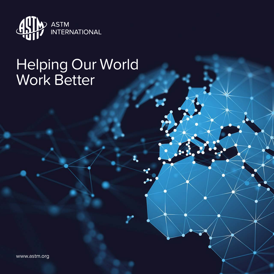

# Helping Our World Work Better

www.astm.org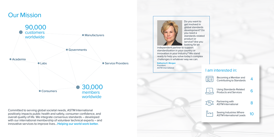Do you want to get involved in global standards development? Do you need a standards-related product or service? Are you looking for an

independent partner to support standardization in your country or innovation in your industry? We stand ready to help you solve today's complex challenges in whatever way we can.

# Our Mission

| Becoming a Member and<br><b>Contributing to Standards</b>      |  |
|----------------------------------------------------------------|--|
| <b>Using Standards-Related</b><br><b>Products and Services</b> |  |
| Partnering with<br>ASTM International                          |  |
| Seeing Industries Where<br>ASTM International Leads            |  |
|                                                                |  |

## I am interested in:



Committed to serving global societal needs, ASTM International positively impacts public health and safety, consumer confidence, and overall quality of life. We integrate consensus standards – developed with our international membership of volunteer technical experts – and innovative services to improve lives…**Helping our world work better.**



**Katharine E. Morgan** President ASTM International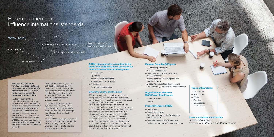4 5

**More than 30,000 people from 155+ countries create and update standards through ASTM International, one of the world's most respected standards development organizations.**

The high quality of ASTM International standards is driven by the expertise and judgment of members who represent industry, governments, academia, trade groups, small and medium size enterprises, consumers, and others. Their contributions, and the consensus process, are why ASTM International standards are known for high quality and market relevance across many industries (see p. 10).

About 150 committees (with over 2,100 subcommittees) meet inperson and virtually, using tools like electronic balloting and online collaboration areas to develop standards. ASTM International publishes those standards shortly thereafter.

ASTM International also offers symposia and workshops that provide unique opportunities for members and others to exchange new ideas and knowledge in their fields.

And, ASTM International reaches out to the next generation of standards experts through efforts like the Emerging Professionals Program and academic outreach.

### **ASTM International is committed to the World Trade Organization's principles for international standards development:**

- Transparency
- Openness
- Impartiality and consensus
- Effectiveness and relevance
- Coherence
- Development dimension

### **Diversity, Equity, and Inclusion**

ASTM International is committed to diversity, equity, and inclusion efforts within our offices, across our governance structure, and throughout our global communities. We value every voice, bringing together people from various backgrounds, cultures, experiences, and genders. This commitment makes our work more impactful and enables us to more effectively fulfill our mission to serve global societal needs and help our world work better. We take seriously the responsibility to develop initiatives that lift all voices. This is a journey, and each day we strive to further our progress and promote a diverse, equitable, and inclusive environment for our staff, our members, and the world around us.

Why Join?

## Become a member. Influence international standards.

### **Types of Standards:**

- Test Method
- Specification
- Guide
- Practice
- Classification
- Terminology
- 

### **Member Benefits (\$75/year)**

- Committee participation
- Access to online tools
- Free volume of the *Annual Book of ASTM Standards*
- *Standardization News* magazine and monthly *eNews*
- Discounts on events and publications
- Interlaboratory study participation and more

### **Organizational Members (\$400/Year) Also Receive:**

- Directory listing
- Plaque

### **Student Members (FREE)**

- Scholarships
- Grant opportunities
- Electronic editions of ASTM magazines and newsletters
- Free attendance at ASTM symposia
- Reduced membership fees on graduation

## **Learn more about membership** memserv@astm.org

www.astm.org/get-involved/membership

Influence industry standards Network with your

peers and customers

Stay on top

of trends  $\sim$  Build your leadership skills

Advance your career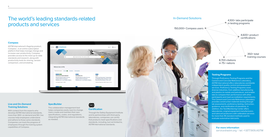### **Compass**

ASTM International's flagship product, Compass<sup>®</sup>, is an online subscription platform that helps manage change and increase user productivity. Compass provides access to the most up-to-date standards and research, along with productivity tools for sharing, version comparison, and annotating.



## **Live and On-Demand Training Solutions**

With content from the experts who develop ASTM International standards, more than 300+ on demand and 50+ live courses help employees understand and adhere to those same standards. Companies can track the progress of employees through the training system capabilities of Compass.

# The world's leading standards-related products and services

## In-Demand Solutions

### **SpecBuilder**

This collaboration management tool helps companies easily react to change. Users create and maintain their own specifications, codes, and regulations, integrating ASTM International standards as needed.



## **Certification**

Through the Safety Equipment Institute and its partnerships with third-party laboratories, companies can certify that products meet specifications and standards, including, but not limited to, ASTM International standards.

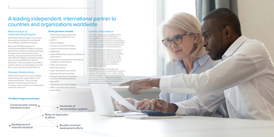

## Memorandum of Understanding Program

ASTM International supports countries that want to contribute to and benefit from globally accepted standards.

More than 115 Memorandum of Understanding (MoU) Program partners (national and regional standards bodies) throughout the world access tools, training, and practical help from ASTM International. National standards bodies gain access to ASTM International standards. Technical experts from MoU partner nations can participate and vote at no cost in standards development.

## Strategic Relationships

ASTM international has many strategic relationships with organizations and trade associations. These include platform-sharing agreements for Compass, memorandums of cooperation, consortia, and more.

## **Some partners include:**

- Other international standards organizations (ISO, IEC, etc.)
- AATCC
- America Makes
- American Concrete Institute
- American Petroleum Institute
- EUROCAE
- Indian Rubber Manufacturers Research Association
- International Association of Plumbing and Mechanical Officials
- NCSL International
- NSF International
- Open Geospatial Consortium
- Parenteral Drug Association
- Program Operator Consortium (environmental declarations)
- SpaceTEC
- Standards Council of Canada
- 3MF Consortium (3D printing)
- many more…

# A leading independent, international partner to countries and organizations worldwide

**The MoU Program promotes:**

Awareness of standardization systems Development of national standards Reduced duplication of efforts Broader economic development efforts Communication among standards bodies

## Centers of Excellence

The Additive Manufacturing (AM) and Exo Technology (ET) Centers of Excellence bring together industry, government, and academia to advance research and standards development. The centers aim to fill standards gaps and drive faster commercialization and technology adoption in these two sectors.

The AM CoE advances AM with its research to standards projects, which have already resulted in several new published standards. The center also holds a series of training workshops to prepare and further the AM workforce at all levels. And it holds special workshops and programs, including the International Conference on Additive Manufacturing (ICAM).

The ET CoE is accelerating safety and reliability standards for exoskeletons and their systems. The center acts as a single, unified hub of knowledge, resources, and leadership, and it is providing a range of learning and training opportunities. The ET CoE works to ensure greater confidence in the baseline performance of exoskeletons.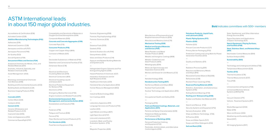10

# ASTM International leads in about 150 major global industries.

Accreditation & Certification (E36) Activated Carbon (D28)

#### **Additive Manufacturing Technologies (F42)**

Adhesives (D14)

Advanced Ceramics (C28)

Aerospace and Aircraft (F07)

Aerospace Personnel (F46)

Air Quality (D22)

Aircraft Systems (F39)

#### **Amusement Rides and Devices (F24)**

Analytical Chemistry for Metals, Ores, and Related Materials (E01)

Aromatic, Industrial, Specialty, and Related Chemicals (D16)

Asset Management (E53)

—

Bioenergy and Industrial Chemicals from Biomass (E48)

Building and Environmental Acoustics (E33)

Building Seals and Sealants (C24)

Business Imaging Products (F05)

—

### **Cannabis (D37)**

Carbon Black (D24)

Catalysts (D32)

### **Cement (C01)**

Ceramic Whitewares and Related Products (C21)

Coal and Coke (D05)

Color and Appearance (E12)

Commercial Spaceflight (F47)

Manufacture of Pharmaceutical and Biopharmaceutical Products (E55)

Manufactured Masonry Units (C15)

### **Mechanical Testing (E28)**

**Medical and Surgical Materials** 

## **and Devices (F04)**

Metal Powders and Metal Powder Products (B09)

Metallic and Inorganic Coatings (B08)

Metallic-Coated Iron and Steel Products (A05)

Metallography (E04)

Molecular Spectroscopy and Separation Science (E13)

Mortars and Grouts for Unit Masonry (C12)

—

Nanotechnology (E56)

### **Nondestructive Testing (E07)**

Nonferrous Metals and Alloys (B02) Nuclear Fuel Cycle (C26) Nuclear Technology and Applications (E10)

— Occupational Health and Safety (E34)

—

Packaging (D10)

**Paint and Related Coatings, Materials, and Applications (D01)**

Particle and Spray Characterization (E29) Pedestrian/Walkway Safety and Footwear (F13)

### **Performance of Buildings (E06)**

Personal Protective Clothing and Equipment (F23)

Pesticides, Antimicrobials, and Alternative Control Agents (E35)

Compatibility and Sensitivity of Materials in Oxygen Enriched Atmospheres (G04)

Composite Materials (D30)

### **Concrete and Concrete Aggregates (C09)**

Concrete Pipe (C13) **Consumer Products (F15)** Copper and Copper Alloys (B05)

Corrosion of Metals (G01)

—

Declarable Substances in Materials (F40) Detention and Correctional Facilities (F33) Dimension Stone (C18)

—

Electrical and Electronic Insulating Materials (D09)

Electrical Conductors (B01)

Electrical Insulating Liquids and Gases (D27) Electrical Protective Equipment

for Workers (F18) Electronics (F01)

Emergency Medical Services (F30)

Engine Coolants and Related Fluids (D15)

### **Environmental Assessment, Risk Management, and Corrective Action (E50)**

Exoskeletons and Exosuits (F48)

— Fasteners (F16) Fatigue and Fracture (E08) Fences (F14) Fiber-Reinforced Cement Products (C17)

### **Fire Standards (E05)**

Food Service Equipment (F26)

## **Petroleum Products, Liquid Fuels, and Lubricants (D02)**

**Plastic Piping Systems (F17) Plastics (D20)**

Polishes (D21)

Precast Concrete Products (C27) Primary Barrier Packaging (F02) Protective Coating and Lining Work for Power

Generation Facilities (D33)

—

Quality and Statistics (E11)

—

Radiation Processing (E61) Reactive and Refractory Metals

and Alloys (B10)

Recovered Carbon Black (rCB) (D36)

Refractories (C08)

Resilient Floor Coverings (F06)

### **Road and Paving Materials (D04)**

Robotics, Automation, and Autonomous

Systems (F45)

Rolling Element Bearings (F34)

**Roofing and Waterproofing (D08)** Rubber and Rubber-like Materials (D11)

— Search and Rescue (F32) Security Systems and Equipment (F12) Sensory Evaluation (E18) Ships and Marine Technology (F25) SI Practice (E43) Snow and Water Sports (F27) Soaps and Other Detergents (D12)

**Soil and Rock (D18)**

Forensic Engineering (E58) Forensic Psychophysiology (E52) Forensic Sciences (E30)

—

Gaseous Fuels (D03)

Gaskets (F03)

General Aviation Aircraft (F44) Geosynthetics (D35)

Glass and Glass Products (C14)

Gypsum and Related Building Materials and Systems (C11)

—

Halogenated Organic Solvents and Fire Extinguishing Agents (D26)

Hazard Potential of Chemicals (E27)

Hazardous Substances and Oil Spill Response (F20)

Healthcare Informatics (E31)

Homeland Security Applications (E54)

Human Resource Management (E63)

—

Industrial Biotechnology (E62) Iron Castings (A04)

— Laboratory Apparatus (E41) Language Services and Products (F43) Leather (D31)

Light Metals and Alloys (B07)

Light Sport Aircraft (F37)

Lime and Limestone (C07)

Livestock, Meat, and Poultry Evaluation Systems (F10)

—

### Magnetic Properties (A06)

Solar, Geothermal, and Other Alternative Energy Sources (E44)

Space Simulation and Applications of Space Technology (E21)

**Sports Equipment, Playing Surfaces, and Facilities (F08)**

#### **Steel, Stainless Steel, and Related Alloys (A01)**

Stormwater Control Measures (E64) Surface Analysis (E42)

### **Sustainability (E60)**

—

Technology and Underground Utilities (F36) Temperature Measurement (E20)

### **Textiles (D13)**

Thermal Insulation (C16) Thermal Measurements (E37) Tires (F09)

—

Unmanned Aircraft Systems (F38) Unmanned Maritime Vehicle Systems (UMVS) (F41)

—

Vacuum Cleaners (F11) Vehicle - Pavement Systems (E17)

—

Waste Management (D34) Water (D19) Wear and Erosion (G02) Weathering and Durability (G03) Wood (D07)

—

3D Imaging Systems (E57)

### **Bold** indicates committees with 500+ members